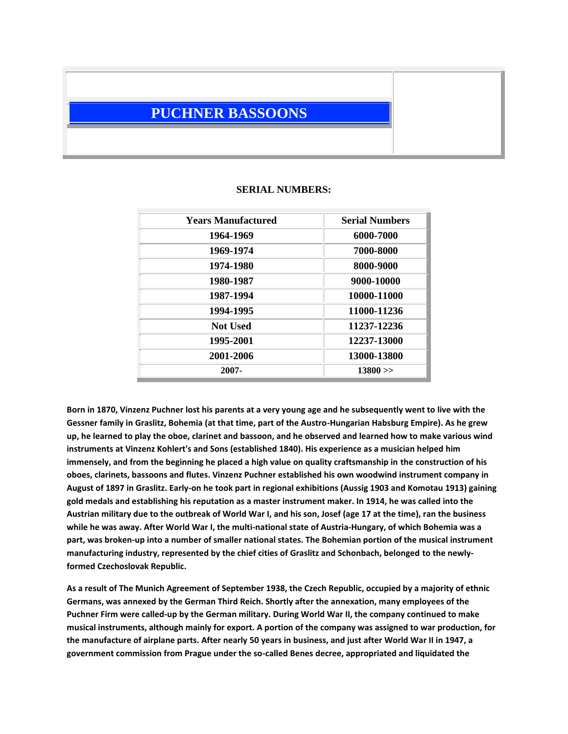## **PUCHNER BASSOONS**

## **Years Manufactured Serial Numbers 1964-1969 6000-7000 1969-1974 7000-8000 1974-1980 8000-9000 1980-1987 9000-10000 1987-1994 10000-11000 1994-1995 11000-11236 Not Used 11237-12236 1995-2001 12237-13000 2001-2006 13000-13800 2007- 13800 >>**

## **SERIAL NUMBERS:**

**Born in 1870, Vinzenz Puchner lost his parents at a very young age and he subsequently went to live with the Gessner family in Graslitz, Bohemia (at that time, part of the Austro-Hungarian Habsburg Empire). As he grew up, he learned to play the oboe, clarinet and bassoon, and he observed and learned how to make various wind instruments at Vinzenz Kohlert's and Sons (established 1840). His experience as a musician helped him immensely, and from the beginning he placed a high value on quality craftsmanship in the construction of his oboes, clarinets, bassoons and flutes. Vinzenz Puchner established his own woodwind instrument company in August of 1897 in Graslitz. Early-on he took part in regional exhibitions (Aussig 1903 and Komotau 1913) gaining gold medals and establishing his reputation as a master instrument maker. In 1914, he was called into the Austrian military due to the outbreak of World War I, and his son, Josef (age 17 at the time), ran the business while he was away. After World War I, the multi-national state of Austria-Hungary, of which Bohemia was a part, was broken-up into a number of smaller national states. The Bohemian portion of the musical instrument manufacturing industry, represented by the chief cities of Graslitz and Schonbach, belonged to the newlyformed Czechoslovak Republic.** 

**As a result of The Munich Agreement of September 1938, the Czech Republic, occupied by a majority of ethnic Germans, was annexed by the German Third Reich. Shortly after the annexation, many employees of the Puchner Firm were called-up by the German military. During World War II, the company continued to make musical instruments, although mainly for export. A portion of the company was assigned to war production, for the manufacture of airplane parts. After nearly 50 years in business, and just after World War II in 1947, a government commission from Prague under the so-called Benes decree, appropriated and liquidated the**